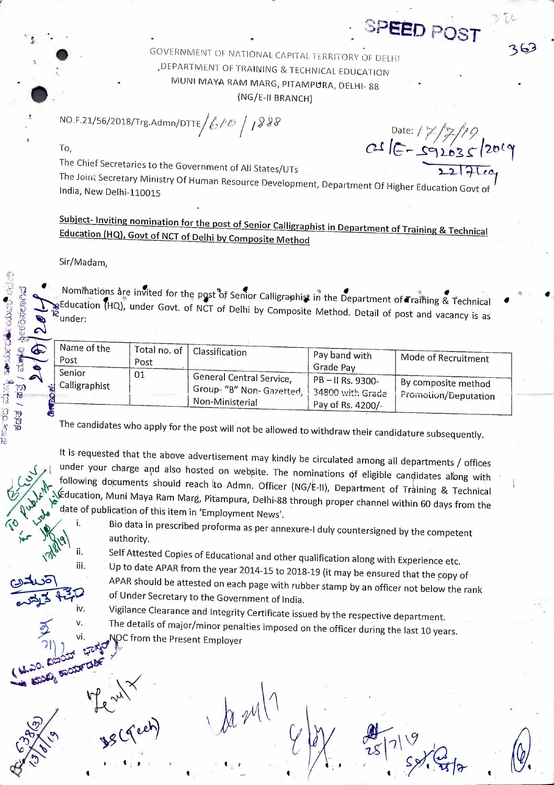GOVERNMENT OF NATIONAL CAPITAL TERRITORY OF DELHI . DEPARTMENT OF TRAINING & TECHNICAL EDUCATION MUNI MAYA RAM MARG, PITAMPURA, DELHI- 88 (NG/E-II BRANCH)

NO.F.21/56/2018/Trg.Admn/DTTE  $/6$  / 0  $/$  188

To,

The Chief Secretaries to the Government of All States/UTs

The Joint Secretary Ministry Of Human Resource Development, Department Of Higher Education Govt of India, New Delhi-110015

Subject- Inviting nomination for the post of Senior Calligraphist in Department of Training & Technical Education (HQ), Govt of NCT of Delhi by Composite Method

## Sir/Madam.

ii.

iii.

iv.

**SOCIETIE** 

le red

Side Dig aires ಕಡತ

Nominations are invited for the post of Senior Calligraphist in the Department of Training & Technical gEducation (HQ), under Govt. of NCT of Delhi by Composite Method. Detail of post and vacancy is as

|    | Name of the     | I Total no. of ' |                          |                     |                      |
|----|-----------------|------------------|--------------------------|---------------------|----------------------|
|    | Post            |                  | Classification           | Pay band with       | Mode of Recruitment  |
|    |                 | Post             |                          | Grade Pay           |                      |
|    | Senior          | 01               | General Central Service, |                     |                      |
|    | i Calligraphist |                  |                          | $PB - II$ Rs. 9300- | By composite method  |
|    |                 |                  | (Group-"B" Non-Gazetted, | : 34800 with Grade  | Promotion/Deputation |
| ရွ |                 |                  | Non-Ministerial          | Pay of Rs. 4200/-   |                      |
|    |                 |                  |                          |                     |                      |

The candidates who apply for the post will not be allowed to withdraw their candidature subsequently.

It is requested that the above advertisement may kindly be circulated among all departments / offices under your charge and also hosted on website. The nominations of eligible candidates along with following documents should reach to Admn. Officer (NG/E-II), Department of Training & Technical Education, Muni Maya Ram Marg, Pitampura, Delhi-88 through proper channel within 60 days from the date of publication of this item in 'Employment News'. i.

Bio data in prescribed proforma as per annexure-I duly countersigned by the competent authority.

Self Attested Copies of Educational and other qualification along with Experience etc.

Up to date APAR from the year 2014-15 to 2018-19 (it may be ensured that the copy of APAR should be attested on each page with rubber stamp by an officer not below the rank of Under Secretary to the Government of India.

Vigilance Clearance and Integrity Certificate issued by the respective department.

The details of major/minor penalties imposed on the officer during the last 10 years. NOC from the Present Employer

Date:  $17/7/14$ <br>C+ IC = 92035/2019

SPEED POST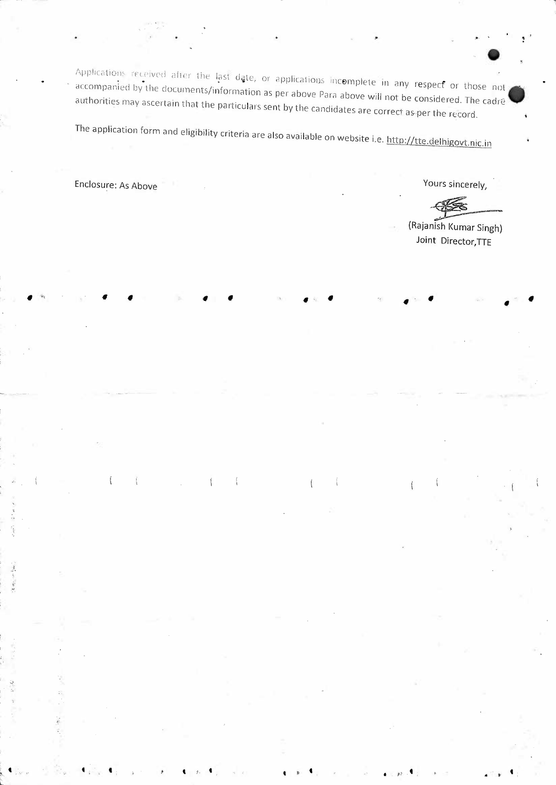$\bullet$ Applications received after the last date, or applications incomplete in any respect or those not **A** accompanied by the documents/information as per above Para above will not be considered. The cadre authorities may ascertain that the particulars sent by the candidates are correct as-per the record.

• • • •· • • • •

The application form and eligibility criteria are also available on website i.e. http://tte.de1hig\_gvt.\_nic.lD\_ -~

والمعرض به من <sub>ال</sub>تعالى الله عليه الله عليه الله عليه الله عليه الله عليه الله عليه الله عليه الله عليه الله عليه

 $\frac{i}{1}$ 

Enclosure: As Above The Contract of the Contract of the Cours sincerely,

·~.

<sup>i</sup>**t**   $\mathcal{L}$ '

(Rajan ish Kumar Singh) **Joint** Director,TIE

 $\mathbf{f}$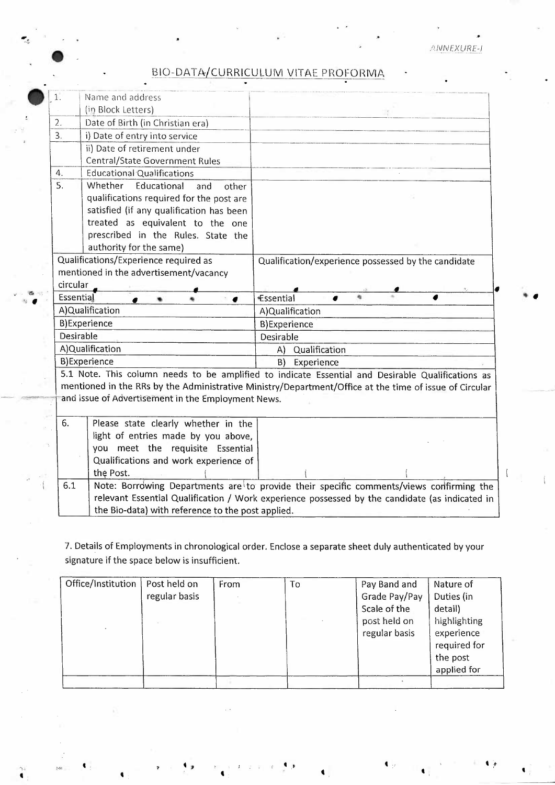. .

..

| (in Block Letters)<br>2.<br>Date of Birth (in Christian era)<br>3.<br>i) Date of entry into service<br>ii) Date of retirement under<br><b>Central/State Government Rules</b><br><b>Educational Qualifications</b><br>4.<br>5.<br>Educational<br>Whether<br>and<br>other<br>qualifications required for the post are<br>satisfied (if any qualification has been<br>treated as equivalent to the one<br>prescribed in the Rules. State the<br>authority for the same)<br>Qualifications/Experience required as<br>mentioned in the advertisement/vacancy<br>circular<br>Essential<br>Essential<br>A)Qualification<br>A)Qualification<br><b>B)Experience</b><br><b>B)Experience</b><br>Desirable<br>Desirable<br>A)Qualification<br>Qualification<br>A)<br><b>B)Experience</b><br>B)<br>Experience<br>5.1 Note. This column needs to be amplified to indicate Essential and Desirable Qualifications as<br>mentioned in the RRs by the Administrative Ministry/Department/Office at the time of issue of Circular<br>and issue of Advertisement in the Employment News.<br>6.<br>Please state clearly whether in the<br>light of entries made by you above,<br>you meet the requisite Essential<br>Qualifications and work experience of<br>the Post. |    |                  |                                                     |
|-----------------------------------------------------------------------------------------------------------------------------------------------------------------------------------------------------------------------------------------------------------------------------------------------------------------------------------------------------------------------------------------------------------------------------------------------------------------------------------------------------------------------------------------------------------------------------------------------------------------------------------------------------------------------------------------------------------------------------------------------------------------------------------------------------------------------------------------------------------------------------------------------------------------------------------------------------------------------------------------------------------------------------------------------------------------------------------------------------------------------------------------------------------------------------------------------------------------------------------------------------|----|------------------|-----------------------------------------------------|
|                                                                                                                                                                                                                                                                                                                                                                                                                                                                                                                                                                                                                                                                                                                                                                                                                                                                                                                                                                                                                                                                                                                                                                                                                                                     | 1. | Name and address |                                                     |
|                                                                                                                                                                                                                                                                                                                                                                                                                                                                                                                                                                                                                                                                                                                                                                                                                                                                                                                                                                                                                                                                                                                                                                                                                                                     |    |                  |                                                     |
|                                                                                                                                                                                                                                                                                                                                                                                                                                                                                                                                                                                                                                                                                                                                                                                                                                                                                                                                                                                                                                                                                                                                                                                                                                                     |    |                  |                                                     |
|                                                                                                                                                                                                                                                                                                                                                                                                                                                                                                                                                                                                                                                                                                                                                                                                                                                                                                                                                                                                                                                                                                                                                                                                                                                     |    |                  |                                                     |
|                                                                                                                                                                                                                                                                                                                                                                                                                                                                                                                                                                                                                                                                                                                                                                                                                                                                                                                                                                                                                                                                                                                                                                                                                                                     |    |                  |                                                     |
|                                                                                                                                                                                                                                                                                                                                                                                                                                                                                                                                                                                                                                                                                                                                                                                                                                                                                                                                                                                                                                                                                                                                                                                                                                                     |    |                  |                                                     |
|                                                                                                                                                                                                                                                                                                                                                                                                                                                                                                                                                                                                                                                                                                                                                                                                                                                                                                                                                                                                                                                                                                                                                                                                                                                     |    |                  |                                                     |
|                                                                                                                                                                                                                                                                                                                                                                                                                                                                                                                                                                                                                                                                                                                                                                                                                                                                                                                                                                                                                                                                                                                                                                                                                                                     |    |                  |                                                     |
|                                                                                                                                                                                                                                                                                                                                                                                                                                                                                                                                                                                                                                                                                                                                                                                                                                                                                                                                                                                                                                                                                                                                                                                                                                                     |    |                  |                                                     |
|                                                                                                                                                                                                                                                                                                                                                                                                                                                                                                                                                                                                                                                                                                                                                                                                                                                                                                                                                                                                                                                                                                                                                                                                                                                     |    |                  |                                                     |
|                                                                                                                                                                                                                                                                                                                                                                                                                                                                                                                                                                                                                                                                                                                                                                                                                                                                                                                                                                                                                                                                                                                                                                                                                                                     |    |                  |                                                     |
|                                                                                                                                                                                                                                                                                                                                                                                                                                                                                                                                                                                                                                                                                                                                                                                                                                                                                                                                                                                                                                                                                                                                                                                                                                                     |    |                  |                                                     |
|                                                                                                                                                                                                                                                                                                                                                                                                                                                                                                                                                                                                                                                                                                                                                                                                                                                                                                                                                                                                                                                                                                                                                                                                                                                     |    |                  |                                                     |
|                                                                                                                                                                                                                                                                                                                                                                                                                                                                                                                                                                                                                                                                                                                                                                                                                                                                                                                                                                                                                                                                                                                                                                                                                                                     |    |                  | Qualification/experience possessed by the candidate |
|                                                                                                                                                                                                                                                                                                                                                                                                                                                                                                                                                                                                                                                                                                                                                                                                                                                                                                                                                                                                                                                                                                                                                                                                                                                     |    |                  |                                                     |
|                                                                                                                                                                                                                                                                                                                                                                                                                                                                                                                                                                                                                                                                                                                                                                                                                                                                                                                                                                                                                                                                                                                                                                                                                                                     |    |                  |                                                     |
|                                                                                                                                                                                                                                                                                                                                                                                                                                                                                                                                                                                                                                                                                                                                                                                                                                                                                                                                                                                                                                                                                                                                                                                                                                                     |    |                  |                                                     |
|                                                                                                                                                                                                                                                                                                                                                                                                                                                                                                                                                                                                                                                                                                                                                                                                                                                                                                                                                                                                                                                                                                                                                                                                                                                     |    |                  |                                                     |
|                                                                                                                                                                                                                                                                                                                                                                                                                                                                                                                                                                                                                                                                                                                                                                                                                                                                                                                                                                                                                                                                                                                                                                                                                                                     |    |                  |                                                     |
|                                                                                                                                                                                                                                                                                                                                                                                                                                                                                                                                                                                                                                                                                                                                                                                                                                                                                                                                                                                                                                                                                                                                                                                                                                                     |    |                  |                                                     |
|                                                                                                                                                                                                                                                                                                                                                                                                                                                                                                                                                                                                                                                                                                                                                                                                                                                                                                                                                                                                                                                                                                                                                                                                                                                     |    |                  |                                                     |
|                                                                                                                                                                                                                                                                                                                                                                                                                                                                                                                                                                                                                                                                                                                                                                                                                                                                                                                                                                                                                                                                                                                                                                                                                                                     |    |                  |                                                     |
|                                                                                                                                                                                                                                                                                                                                                                                                                                                                                                                                                                                                                                                                                                                                                                                                                                                                                                                                                                                                                                                                                                                                                                                                                                                     |    |                  |                                                     |
|                                                                                                                                                                                                                                                                                                                                                                                                                                                                                                                                                                                                                                                                                                                                                                                                                                                                                                                                                                                                                                                                                                                                                                                                                                                     |    |                  |                                                     |
|                                                                                                                                                                                                                                                                                                                                                                                                                                                                                                                                                                                                                                                                                                                                                                                                                                                                                                                                                                                                                                                                                                                                                                                                                                                     |    |                  |                                                     |
|                                                                                                                                                                                                                                                                                                                                                                                                                                                                                                                                                                                                                                                                                                                                                                                                                                                                                                                                                                                                                                                                                                                                                                                                                                                     |    |                  |                                                     |
|                                                                                                                                                                                                                                                                                                                                                                                                                                                                                                                                                                                                                                                                                                                                                                                                                                                                                                                                                                                                                                                                                                                                                                                                                                                     |    |                  |                                                     |
|                                                                                                                                                                                                                                                                                                                                                                                                                                                                                                                                                                                                                                                                                                                                                                                                                                                                                                                                                                                                                                                                                                                                                                                                                                                     |    |                  |                                                     |
|                                                                                                                                                                                                                                                                                                                                                                                                                                                                                                                                                                                                                                                                                                                                                                                                                                                                                                                                                                                                                                                                                                                                                                                                                                                     |    |                  |                                                     |
|                                                                                                                                                                                                                                                                                                                                                                                                                                                                                                                                                                                                                                                                                                                                                                                                                                                                                                                                                                                                                                                                                                                                                                                                                                                     |    |                  |                                                     |
|                                                                                                                                                                                                                                                                                                                                                                                                                                                                                                                                                                                                                                                                                                                                                                                                                                                                                                                                                                                                                                                                                                                                                                                                                                                     |    |                  |                                                     |
| Note: Borrowing Departments are to provide their specific comments/views confirming the<br>6.1                                                                                                                                                                                                                                                                                                                                                                                                                                                                                                                                                                                                                                                                                                                                                                                                                                                                                                                                                                                                                                                                                                                                                      |    |                  |                                                     |

7. Details of Employments in chronological order. Enclose a separate sheet duly authenticated by your signature if the space below is insufficient.

| Office/Institution | Post held on  | From | To | Pay Band and  | Nature of    |
|--------------------|---------------|------|----|---------------|--------------|
|                    | regular basis |      |    | Grade Pay/Pay | Duties (in   |
|                    |               |      |    | Scale of the  | detail)      |
|                    |               |      |    | post held on  | highlighting |
|                    |               |      |    | regular basis | experience   |
|                    |               |      |    |               | required for |
|                    |               |      |    |               | the post     |
|                    |               |      |    |               | applied for  |
|                    |               |      |    |               |              |

 $\mathbf{A}_{\mathcal{G}}$  . The set of  $\mathbf{A}_{\mathcal{G}}$  is the set of  $\mathbf{A}_{\mathcal{G}}$  . And the set of  $\mathbf{A}_{\mathcal{G}}$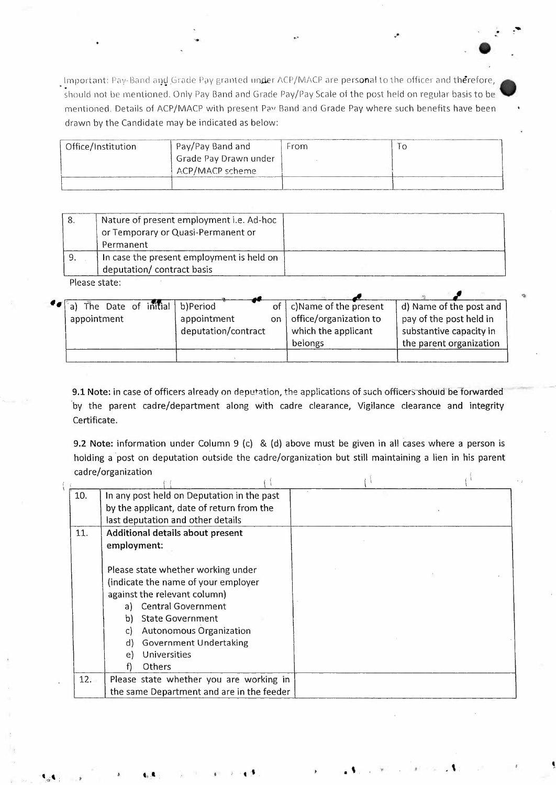when the officer and ellip grade law granted under ACP/MACP are personal to the officer and therefore, a should not be mentioned. Only Pay Band and Grade Pay/Pay Scale of the post held on regular basis to be •• A should no mentioned. Details of ACP/MACP with present Pav Band and Grade Pay where such benefits have been drawn by the Candidate may be indicated as below:

 $\mathcal{Z}_{\mathcal{P}}$ 

 $\bullet$ 

I

 $\bullet$ 

. .\_. ...

| Office/Institution | Pay/Pay Band and      | From | l O |
|--------------------|-----------------------|------|-----|
|                    | Grade Pay Drawn under |      |     |
|                    | ACP/MACP scheme       |      |     |
|                    |                       |      |     |

| -8. | Nature of present employment i.e. Ad-hoc  |  |
|-----|-------------------------------------------|--|
|     | or Temporary or Quasi-Permanent or        |  |
|     | Permanent                                 |  |
|     | In case the present employment is held on |  |
|     | deputation/ contract basis                |  |

Please state:

|  |             |  | <b>for</b> a) The Date of initial b)Period |    | of   c) Name of the present | d) Name of the post and |
|--|-------------|--|--------------------------------------------|----|-----------------------------|-------------------------|
|  | appointment |  | appointment                                | on | office/organization to      | pay of the post held in |
|  |             |  | deputation/contract                        |    | which the applicant         | substantive capacity in |
|  |             |  |                                            |    | belongs                     | the parent organization |
|  |             |  |                                            |    |                             |                         |

9.1 Note: in case of officers already on deputation, the applications of such officers should be forwarded ·by the parent cadre/department along with cadre clearance, Vigilance clearance and integrity Certificate.

9.2 **Note:** information under Column 9 (c) & (d) above must be given in all cases where a person is holding a post on deputation outside the cadre/organization but still maintaining a lien in his parent cadre/organization i

| 10. | In any post held on Deputation in the past<br>by the applicant, date of return from the<br>last deputation and other details                                                                                                                                                                       |  |
|-----|----------------------------------------------------------------------------------------------------------------------------------------------------------------------------------------------------------------------------------------------------------------------------------------------------|--|
| 11. | Additional details about present<br>employment:                                                                                                                                                                                                                                                    |  |
|     | Please state whether working under<br>(indicate the name of your employer<br>against the relevant column)<br><b>Central Government</b><br>a)<br><b>State Government</b><br>b)<br>Autonomous Organization<br>C)<br><b>Government Undertaking</b><br>d)<br>Universities<br>e)<br><b>Others</b><br>f) |  |
| 12. | Please state whether you are working in<br>the same Department and are in the feeder                                                                                                                                                                                                               |  |

.. . \:

.. :• ; . ' . ' .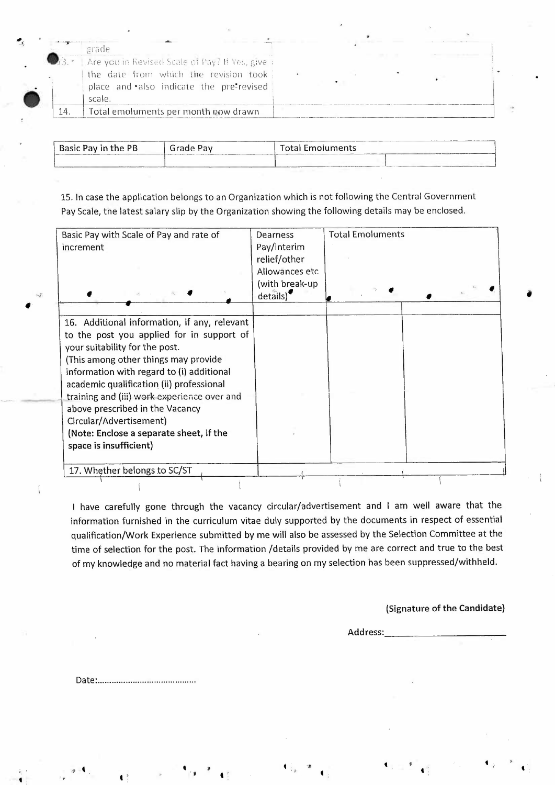|                                            | grade                                          |  |  |
|--------------------------------------------|------------------------------------------------|--|--|
| $\mathbb{R}$ , $\mathbb{R}$ , $\mathbb{R}$ | Are you in Revised Scale of Pay? HiYes, give : |  |  |
|                                            | the date from which the revision took          |  |  |
|                                            | place and also indicate the pre-revised        |  |  |
|                                            | scale.                                         |  |  |
|                                            | Total emoluments per month now drawn           |  |  |

| Basic Pay in the PB | Grade Pav | <b>Total Emoluments</b> |  |  |
|---------------------|-----------|-------------------------|--|--|
|                     |           |                         |  |  |

15. In case the application belongs to an Organization which is not following the Central Government Pay Scale, the latest salary slip by the Organization showing the following details may be enclosed.

| Basic Pay with Scale of Pay and rate of<br>increment                                                                                                                                                                                                                                                                                                                                                                                           | Dearness<br>Pay/interim<br>relief/other<br>Allowances etc<br>(with break-up<br>details) | <b>Total Emoluments</b> |  |
|------------------------------------------------------------------------------------------------------------------------------------------------------------------------------------------------------------------------------------------------------------------------------------------------------------------------------------------------------------------------------------------------------------------------------------------------|-----------------------------------------------------------------------------------------|-------------------------|--|
|                                                                                                                                                                                                                                                                                                                                                                                                                                                |                                                                                         |                         |  |
| 16. Additional information, if any, relevant<br>to the post you applied for in support of<br>your suitability for the post.<br>(This among other things may provide<br>information with regard to (i) additional<br>academic qualification (ii) professional<br>training and (iii) work experience over and<br>above prescribed in the Vacancy<br>Circular/Advertisement)<br>(Note: Enclose a separate sheet, if the<br>space is insufficient) |                                                                                         |                         |  |
| 17. Whether belongs to SC/ST                                                                                                                                                                                                                                                                                                                                                                                                                   |                                                                                         |                         |  |

I have carefully gone through the vacancy circular/advertisement and I am well aware that the information furnished in the curriculum vitae duly supported by the documents in respect of essential qualification/Work Experience submitted by me will also be assessed by the Selection Committee at the time of selection for the post. The information /details provided by me are correct and true to the best of my knowledge and no material fact having a bearing on my selection has been suppressed/withheld.

## (Signature of the Candidate)

Address: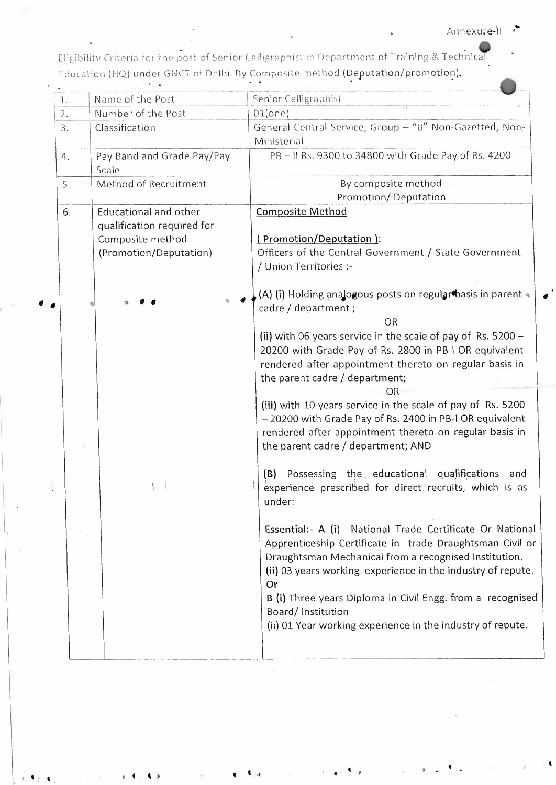## Annexure-il

Eligibility Criteria for the post of Senior Calligraphist in Department of Training & Technical Education (HQ) under GNCT of Delhi By Composite method (Deputation/promotion).

| $\hat{1}$ . | Name of the Post                                                                                  | Senior Calligraphist                                                                                                                                                                                                                                                                                                                                                                                                                                                                                                                                                                                                                                        |
|-------------|---------------------------------------------------------------------------------------------------|-------------------------------------------------------------------------------------------------------------------------------------------------------------------------------------------------------------------------------------------------------------------------------------------------------------------------------------------------------------------------------------------------------------------------------------------------------------------------------------------------------------------------------------------------------------------------------------------------------------------------------------------------------------|
| 2.          | Number of the Post                                                                                | 01(one)                                                                                                                                                                                                                                                                                                                                                                                                                                                                                                                                                                                                                                                     |
| 3.          | Classification                                                                                    | General Central Service, Group - "B" Non-Gazetted, Non-<br>Ministerial                                                                                                                                                                                                                                                                                                                                                                                                                                                                                                                                                                                      |
| 4.          | Pay Band and Grade Pay/Pay<br>Scale                                                               | PB-II Rs. 9300 to 34800 with Grade Pay of Rs. 4200                                                                                                                                                                                                                                                                                                                                                                                                                                                                                                                                                                                                          |
| 5.          | Method of Recruitment                                                                             | By composite method<br>Promotion/Deputation                                                                                                                                                                                                                                                                                                                                                                                                                                                                                                                                                                                                                 |
| 6.          | Educational and other<br>qualification required for<br>Composite method<br>(Promotion/Deputation) | <b>Composite Method</b><br>(Promotion/Deputation):<br>Officers of the Central Government / State Government<br>/ Union Territories :-<br>(A) (i) Holding analogous posts on regular basis in parent 4<br>cadre / department ;<br><b>OR</b><br>(ii) with 06 years service in the scale of pay of Rs. 5200 -<br>20200 with Grade Pay of Rs. 2800 in PB-I OR equivalent<br>rendered after appointment thereto on regular basis in<br>the parent cadre / department;<br>ΟR<br>(iii) with 10 years service in the scale of pay of Rs. 5200<br>- 20200 with Grade Pay of Rs. 2400 in PB-I OR equivalent<br>rendered after appointment thereto on regular basis in |
|             |                                                                                                   | the parent cadre / department; AND<br>(B) Possessing the educational qualifications<br>and<br>experience prescribed for direct recruits, which is as<br>under:<br>Essential:- A (i) National Trade Certificate Or National<br>Apprenticeship Certificate in trade Draughtsman Civil or<br>Draughtsman Mechanical from a recognised Institution.<br>(ii) 03 years working experience in the industry of repute.<br>Or<br>B (i) Three years Diploma in Civil Engg. from a recognised<br>Board/Institution<br>(ii) 01 Year working experience in the industry of repute.                                                                                       |